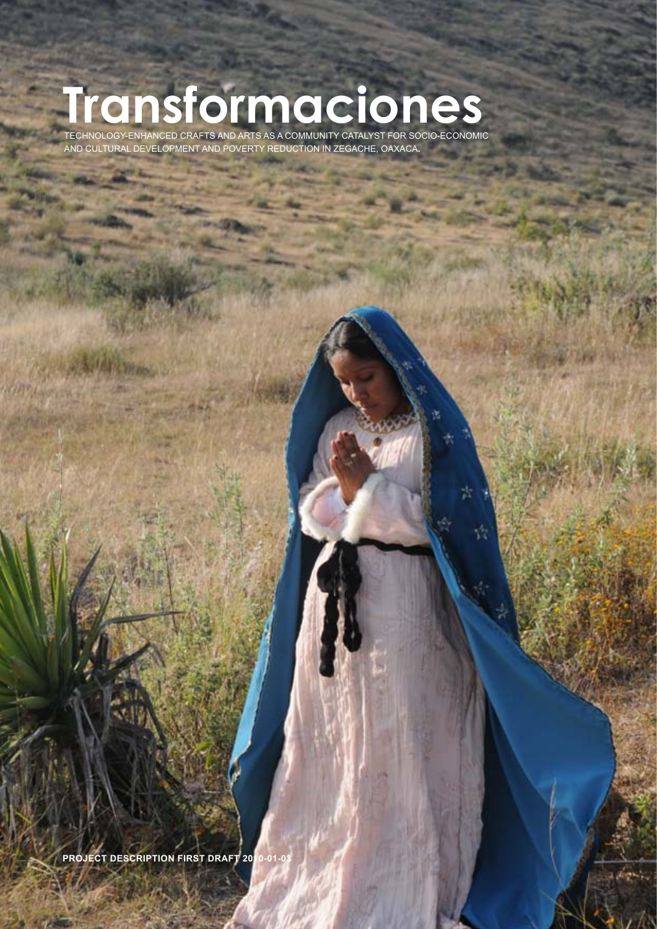## **Transformaciones**

Technology-enhanced crafts and arts as a community catalyst for socio-economic and cultural development and poverty reduction in Zegache, Oaxaca**.** 

**Project description First draft 2010-01-03**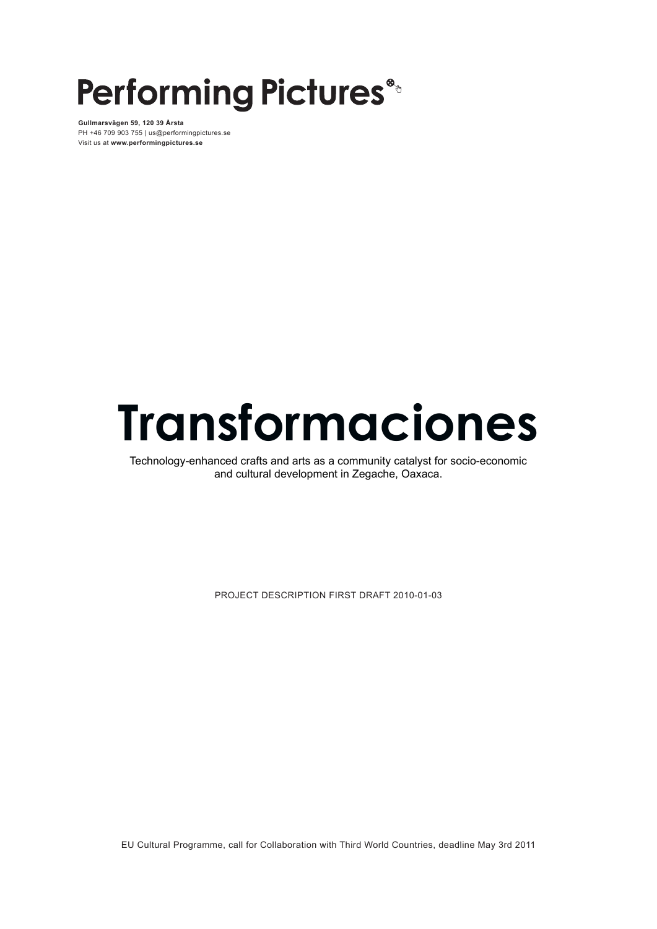## **Performing Pictures®**

**Gullmarsvägen 59, 120 39 Årsta** PH +46 709 903 755 | us@performingpictures.se Visit us at **www.performingpictures.se**

# **Transformaciones**

Technology-enhanced crafts and arts as a community catalyst for socio-economic and cultural development in Zegache, Oaxaca.

Project description First draft 2010-01-03

EU Cultural Programme, call for Collaboration with Third World Countries, deadline May 3rd 2011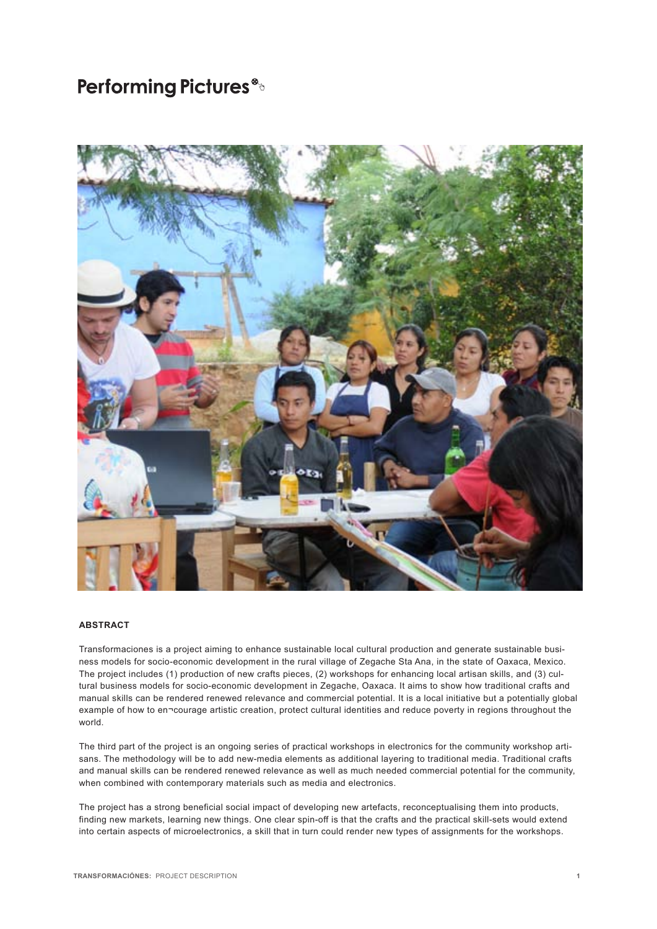

#### **ABSTRACT**

Transformaciones is a project aiming to enhance sustainable local cultural production and generate sustainable business models for socio-economic development in the rural village of Zegache Sta Ana, in the state of Oaxaca, Mexico. The project includes (1) production of new crafts pieces, (2) workshops for enhancing local artisan skills, and (3) cultural business models for socio-economic development in Zegache, Oaxaca. It aims to show how traditional crafts and manual skills can be rendered renewed relevance and commercial potential. It is a local initiative but a potentially global example of how to en¬courage artistic creation, protect cultural identities and reduce poverty in regions throughout the world.

The third part of the project is an ongoing series of practical workshops in electronics for the community workshop artisans. The methodology will be to add new-media elements as additional layering to traditional media. Traditional crafts and manual skills can be rendered renewed relevance as well as much needed commercial potential for the community, when combined with contemporary materials such as media and electronics.

The project has a strong beneficial social impact of developing new artefacts, reconceptualising them into products, finding new markets, learning new things. One clear spin-off is that the crafts and the practical skill-sets would extend into certain aspects of microelectronics, a skill that in turn could render new types of assignments for the workshops.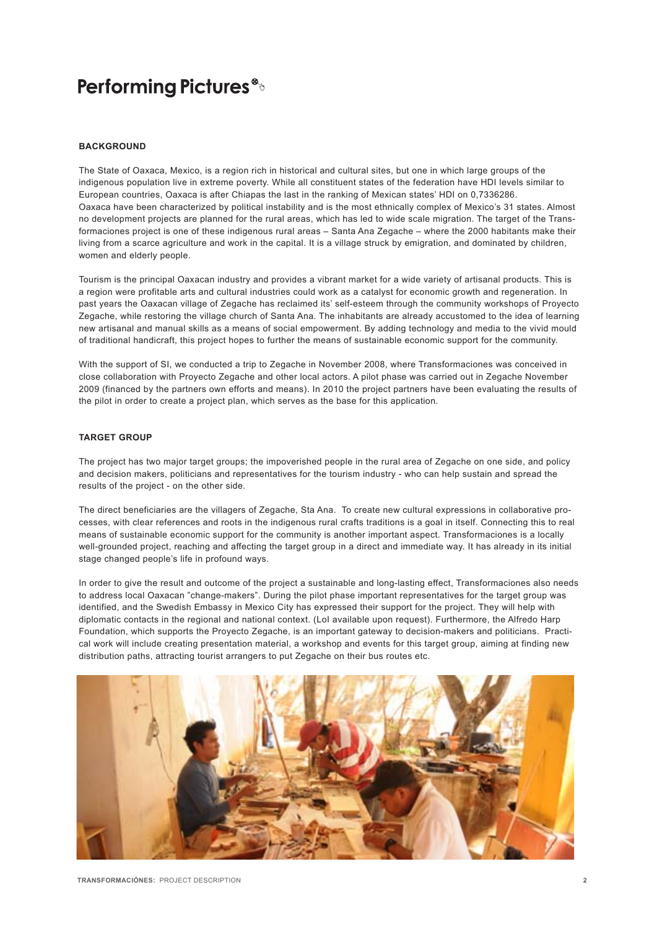#### **Background**

The State of Oaxaca, Mexico, is a region rich in historical and cultural sites, but one in which large groups of the indigenous population live in extreme poverty. While all constituent states of the federation have HDI levels similar to European countries, Oaxaca is after Chiapas the last in the ranking of Mexican states' HDI on 0,7336286. Oaxaca have been characterized by political instability and is the most ethnically complex of Mexico's 31 states. Almost no development projects are planned for the rural areas, which has led to wide scale migration. The target of the Transformaciones project is one of these indigenous rural areas – Santa Ana Zegache – where the 2000 habitants make their living from a scarce agriculture and work in the capital. It is a village struck by emigration, and dominated by children, women and elderly people.

Tourism is the principal Oaxacan industry and provides a vibrant market for a wide variety of artisanal products. This is a region were profitable arts and cultural industries could work as a catalyst for economic growth and regeneration. In past years the Oaxacan village of Zegache has reclaimed its' self-esteem through the community workshops of Proyecto Zegache, while restoring the village church of Santa Ana. The inhabitants are already accustomed to the idea of learning new artisanal and manual skills as a means of social empowerment. By adding technology and media to the vivid mould of traditional handicraft, this project hopes to further the means of sustainable economic support for the community.

With the support of SI, we conducted a trip to Zegache in November 2008, where Transformaciones was conceived in close collaboration with Proyecto Zegache and other local actors. A pilot phase was carried out in Zegache November 2009 (financed by the partners own efforts and means). In 2010 the project partners have been evaluating the results of the pilot in order to create a project plan, which serves as the base for this application.

#### **Target group**

The project has two major target groups; the impoverished people in the rural area of Zegache on one side, and policy and decision makers, politicians and representatives for the tourism industry - who can help sustain and spread the results of the project - on the other side.

The direct beneficiaries are the villagers of Zegache, Sta Ana. To create new cultural expressions in collaborative processes, with clear references and roots in the indigenous rural crafts traditions is a goal in itself. Connecting this to real means of sustainable economic support for the community is another important aspect. Transformaciones is a locally well-grounded project, reaching and affecting the target group in a direct and immediate way. It has already in its initial stage changed people's life in profound ways.

In order to give the result and outcome of the project a sustainable and long-lasting effect, Transformaciones also needs to address local Oaxacan "change-makers". During the pilot phase important representatives for the target group was identified, and the Swedish Embassy in Mexico City has expressed their support for the project. They will help with diplomatic contacts in the regional and national context. (LoI available upon request). Furthermore, the Alfredo Harp Foundation, which supports the Proyecto Zegache, is an important gateway to decision-makers and politicians. Practical work will include creating presentation material, a workshop and events for this target group, aiming at finding new distribution paths, attracting tourist arrangers to put Zegache on their bus routes etc.

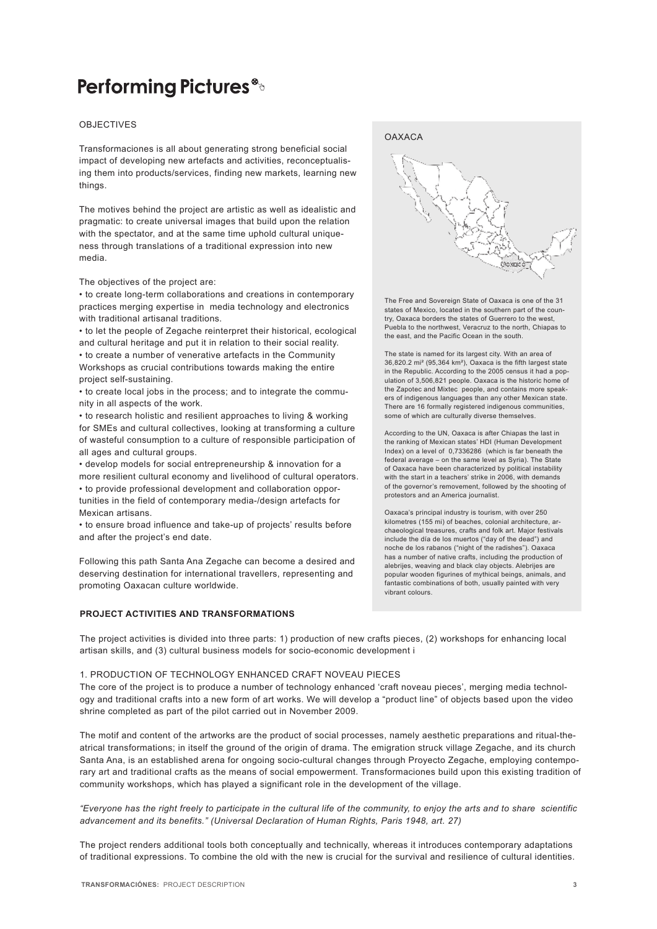#### **OBJECTIVES**

Transformaciones is all about generating strong beneficial social impact of developing new artefacts and activities, reconceptualising them into products/services, finding new markets, learning new things.

The motives behind the project are artistic as well as idealistic and pragmatic: to create universal images that build upon the relation with the spectator, and at the same time uphold cultural uniqueness through translations of a traditional expression into new media.

The objectives of the project are:

• to create long-term collaborations and creations in contemporary practices merging expertise in media technology and electronics with traditional artisanal traditions.

• to let the people of Zegache reinterpret their historical, ecological and cultural heritage and put it in relation to their social reality. • to create a number of venerative artefacts in the Community Workshops as crucial contributions towards making the entire project self-sustaining.

• to create local jobs in the process; and to integrate the community in all aspects of the work.

• to research holistic and resilient approaches to living & working for SMEs and cultural collectives, looking at transforming a culture of wasteful consumption to a culture of responsible participation of all ages and cultural groups.

• develop models for social entrepreneurship & innovation for a more resilient cultural economy and livelihood of cultural operators. • to provide professional development and collaboration opportunities in the field of contemporary media-/design artefacts for Mexican artisans.

• to ensure broad influence and take-up of projects' results before and after the project's end date.

Following this path Santa Ana Zegache can become a desired and deserving destination for international travellers, representing and promoting Oaxacan culture worldwide.

#### **Project activities and transformations**





The Free and Sovereign State of Oaxaca is one of the 31 states of Mexico, located in the southern part of the country, Oaxaca borders the states of Guerrero to the west, Puebla to the northwest, Veracruz to the north, Chiapas to the east, and the Pacific Ocean in the south.

The state is named for its largest city. With an area of 36,820.2 mi² (95,364 km²), Oaxaca is the fifth largest state in the Republic. According to the 2005 census it had a population of 3,506,821 people. Oaxaca is the historic home of the Zapotec and Mixtec people, and contains more speakers of indigenous languages than any other Mexican state. There are 16 formally registered indigenous communities, some of which are culturally diverse themselves.

According to the UN, Oaxaca is after Chiapas the last in the ranking of Mexican states' HDI (Human Development Index) on a level of 0,7336286 (which is far beneath the federal average – on the same level as Syria). The State of Oaxaca have been characterized by political instability with the start in a teachers' strike in 2006, with demands of the governor's removement, followed by the shooting of protestors and an America journalist.

Oaxaca's principal industry is tourism, with over 250 kilometres (155 mi) of beaches, colonial architecture, archaeological treasures, crafts and folk art. Major festivals include the día de los muertos ("day of the dead") and noche de los rabanos ("night of the radishes"). Oaxaca has a number of native crafts, including the production of alebrijes, weaving and black clay objects. Alebrijes are popular wooden figurines of mythical beings, animals, and fantastic combinations of both, usually painted with very vibrant colours.

The project activities is divided into three parts: 1) production of new crafts pieces, (2) workshops for enhancing local artisan skills, and (3) cultural business models for socio-economic development i

#### 1. PRODUCTION OF TECHNOLOGY ENHANCED CRAFT NOVEAU PIECES

The core of the project is to produce a number of technology enhanced 'craft noveau pieces', merging media technology and traditional crafts into a new form of art works. We will develop a "product line" of objects based upon the video shrine completed as part of the pilot carried out in November 2009.

The motif and content of the artworks are the product of social processes, namely aesthetic preparations and ritual-theatrical transformations; in itself the ground of the origin of drama. The emigration struck village Zegache, and its church Santa Ana, is an established arena for ongoing socio-cultural changes through Proyecto Zegache, employing contemporary art and traditional crafts as the means of social empowerment. Transformaciones build upon this existing tradition of community workshops, which has played a significant role in the development of the village.

*"Everyone has the right freely to participate in the cultural life of the community, to enjoy the arts and to share scientific advancement and its benefits." (Universal Declaration of Human Rights, Paris 1948, art. 27)* 

The project renders additional tools both conceptually and technically, whereas it introduces contemporary adaptations of traditional expressions. To combine the old with the new is crucial for the survival and resilience of cultural identities.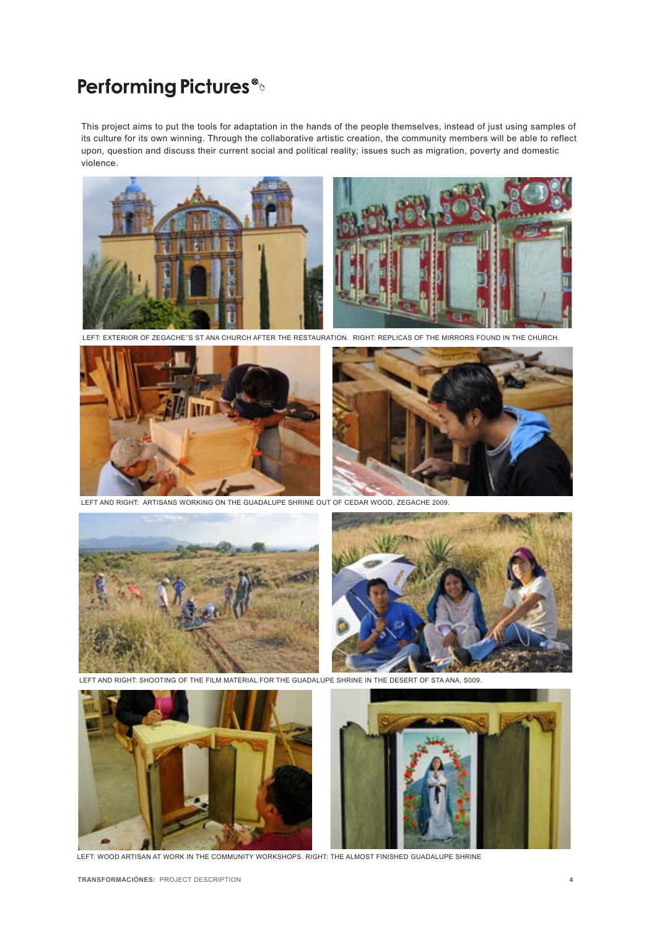This project aims to put the tools for adaptation in the hands of the people themselves, instead of just using samples of its culture for its own winning. Through the collaborative artistic creation, the community members will be able to reflect upon, question and discuss their current social and political reality; issues such as migration, poverty and domestic violence.



LEFT: EXTERIOR OF ZEGACHE''s ST ANA CHURCH AFTER THE RESTAURATION. RIGHT: REPLICAS OF THE MIrrors found in the church.



LEFT AND RIGHT: ARTISANS WORKING ON THE GUADALUPE SHRINE OUT OF CEDAR WOod, Zegache 2009.



LEFT AND RIGHT: SHOOTING OF THE FILM MATERIAL FOR THE GUADALUPE SHRINe in the desert of Sta Ana, s009.



LEFT: WOOD ARTISAN AT WORK in the community workshops. Right: THE ALMOST FINISHED GUADALUPE SHRINE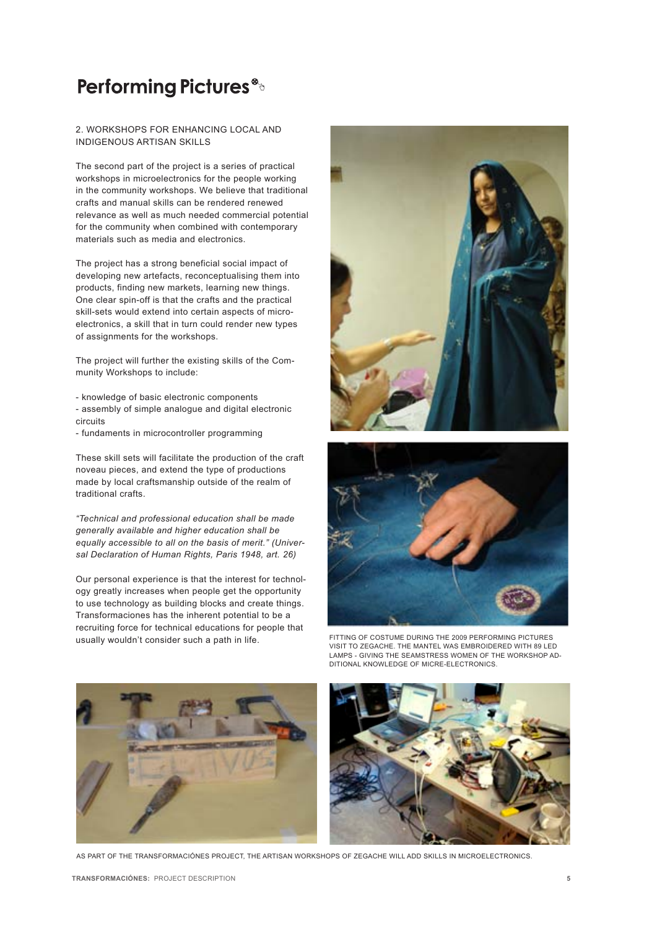#### 2. WORKSHOPS FOR ENHANCING LOCAL AND INDIGENOUS ARTISAN SKILLS

The second part of the project is a series of practical workshops in microelectronics for the people working in the community workshops. We believe that traditional crafts and manual skills can be rendered renewed relevance as well as much needed commercial potential for the community when combined with contemporary materials such as media and electronics.

The project has a strong beneficial social impact of developing new artefacts, reconceptualising them into products, finding new markets, learning new things. One clear spin-off is that the crafts and the practical skill-sets would extend into certain aspects of microelectronics, a skill that in turn could render new types of assignments for the workshops.

The project will further the existing skills of the Community Workshops to include:

- knowledge of basic electronic components - assembly of simple analogue and digital electronic circuits
- fundaments in microcontroller programming

These skill sets will facilitate the production of the craft noveau pieces, and extend the type of productions made by local craftsmanship outside of the realm of traditional crafts.

*"Technical and professional education shall be made generally available and higher education shall be equally accessible to all on the basis of merit." (Universal Declaration of Human Rights, Paris 1948, art. 26)*

Our personal experience is that the interest for technology greatly increases when people get the opportunity to use technology as building blocks and create things. Transformaciones has the inherent potential to be a recruiting force for technical educations for people that usually wouldn't consider such a path in life. FITTING OF COSTUME DURING THE 2009 PERFORMING PICTURES





visit to Zegache. The MAntel was embroidered with 89 LED lamps - giving the seamstress women of the workshop additional knowledge of Micre-Electronics.





AS PART OF THE TRANSformaciónes project, the artisan workshops of zegache will add skills in microelectronics.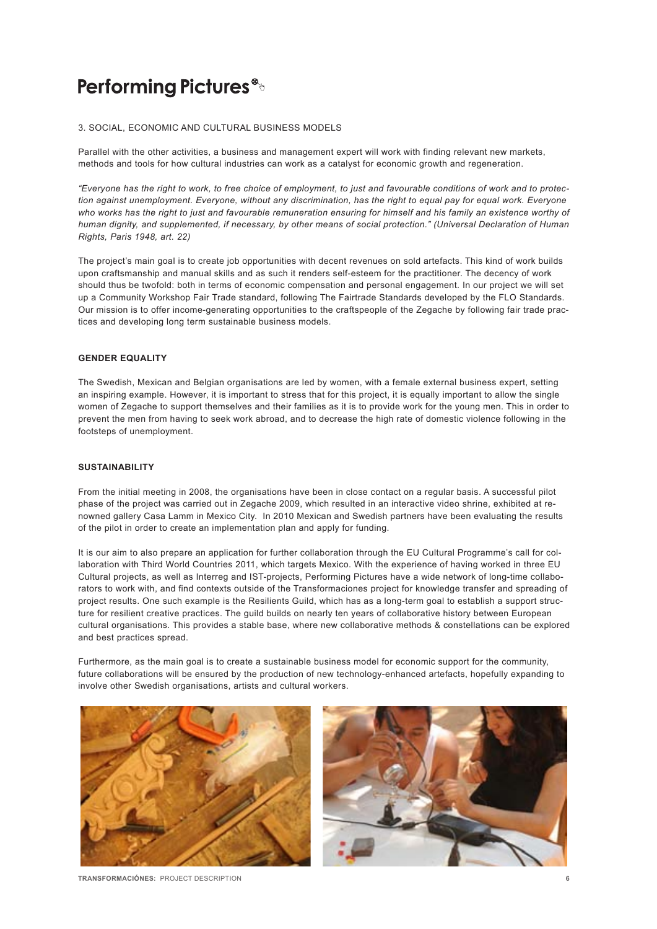#### 3. SOCIAL, ECONOMIC AND CULTURAL BUSINESS MODELS

Parallel with the other activities, a business and management expert will work with finding relevant new markets, methods and tools for how cultural industries can work as a catalyst for economic growth and regeneration.

*"Everyone has the right to work, to free choice of employment, to just and favourable conditions of work and to protection against unemployment. Everyone, without any discrimination, has the right to equal pay for equal work. Everyone who works has the right to just and favourable remuneration ensuring for himself and his family an existence worthy of human dignity, and supplemented, if necessary, by other means of social protection." (Universal Declaration of Human Rights, Paris 1948, art. 22)*

The project's main goal is to create job opportunities with decent revenues on sold artefacts. This kind of work builds upon craftsmanship and manual skills and as such it renders self-esteem for the practitioner. The decency of work should thus be twofold: both in terms of economic compensation and personal engagement. In our project we will set up a Community Workshop Fair Trade standard, following The Fairtrade Standards developed by the FLO Standards. Our mission is to offer income-generating opportunities to the craftspeople of the Zegache by following fair trade practices and developing long term sustainable business models.

#### **Gender equality**

The Swedish, Mexican and Belgian organisations are led by women, with a female external business expert, setting an inspiring example. However, it is important to stress that for this project, it is equally important to allow the single women of Zegache to support themselves and their families as it is to provide work for the young men. This in order to prevent the men from having to seek work abroad, and to decrease the high rate of domestic violence following in the footsteps of unemployment.

#### **Sustainability**

From the initial meeting in 2008, the organisations have been in close contact on a regular basis. A successful pilot phase of the project was carried out in Zegache 2009, which resulted in an interactive video shrine, exhibited at renowned gallery Casa Lamm in Mexico City. In 2010 Mexican and Swedish partners have been evaluating the results of the pilot in order to create an implementation plan and apply for funding.

It is our aim to also prepare an application for further collaboration through the EU Cultural Programme's call for collaboration with Third World Countries 2011, which targets Mexico. With the experience of having worked in three EU Cultural projects, as well as Interreg and IST-projects, Performing Pictures have a wide network of long-time collaborators to work with, and find contexts outside of the Transformaciones project for knowledge transfer and spreading of project results. One such example is the Resilients Guild, which has as a long-term goal to establish a support structure for resilient creative practices. The guild builds on nearly ten years of collaborative history between European cultural organisations. This provides a stable base, where new collaborative methods & constellations can be explored and best practices spread.

Furthermore, as the main goal is to create a sustainable business model for economic support for the community, future collaborations will be ensured by the production of new technology-enhanced artefacts, hopefully expanding to involve other Swedish organisations, artists and cultural workers.





 **Transformaciónes:** PROJECT DESCRIPTION **6**